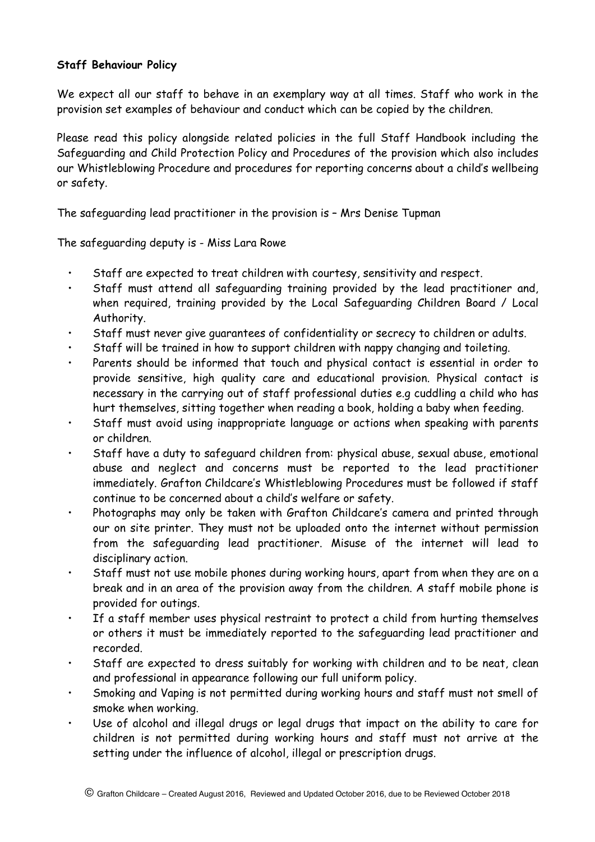## **Staff Behaviour Policy**

We expect all our staff to behave in an exemplary way at all times. Staff who work in the provision set examples of behaviour and conduct which can be copied by the children.

Please read this policy alongside related policies in the full Staff Handbook including the Safeguarding and Child Protection Policy and Procedures of the provision which also includes our Whistleblowing Procedure and procedures for reporting concerns about a child's wellbeing or safety.

The safeguarding lead practitioner in the provision is – Mrs Denise Tupman

The safeguarding deputy is - Miss Lara Rowe

- Staff are expected to treat children with courtesy, sensitivity and respect.
- Staff must attend all safeguarding training provided by the lead practitioner and, when required, training provided by the Local Safeguarding Children Board / Local Authority.
- Staff must never give guarantees of confidentiality or secrecy to children or adults.
- Staff will be trained in how to support children with nappy changing and toileting.
- Parents should be informed that touch and physical contact is essential in order to provide sensitive, high quality care and educational provision. Physical contact is necessary in the carrying out of staff professional duties e.g cuddling a child who has hurt themselves, sitting together when reading a book, holding a baby when feeding.
- Staff must avoid using inappropriate language or actions when speaking with parents or children.
- Staff have a duty to safeguard children from: physical abuse, sexual abuse, emotional abuse and neglect and concerns must be reported to the lead practitioner immediately. Grafton Childcare's Whistleblowing Procedures must be followed if staff continue to be concerned about a child's welfare or safety.
- Photographs may only be taken with Grafton Childcare's camera and printed through our on site printer. They must not be uploaded onto the internet without permission from the safeguarding lead practitioner. Misuse of the internet will lead to disciplinary action.
- Staff must not use mobile phones during working hours, apart from when they are on a break and in an area of the provision away from the children. A staff mobile phone is provided for outings.
- If a staff member uses physical restraint to protect a child from hurting themselves or others it must be immediately reported to the safeguarding lead practitioner and recorded.
- Staff are expected to dress suitably for working with children and to be neat, clean and professional in appearance following our full uniform policy.
- Smoking and Vaping is not permitted during working hours and staff must not smell of smoke when working.
- Use of alcohol and illegal drugs or legal drugs that impact on the ability to care for children is not permitted during working hours and staff must not arrive at the setting under the influence of alcohol, illegal or prescription drugs.